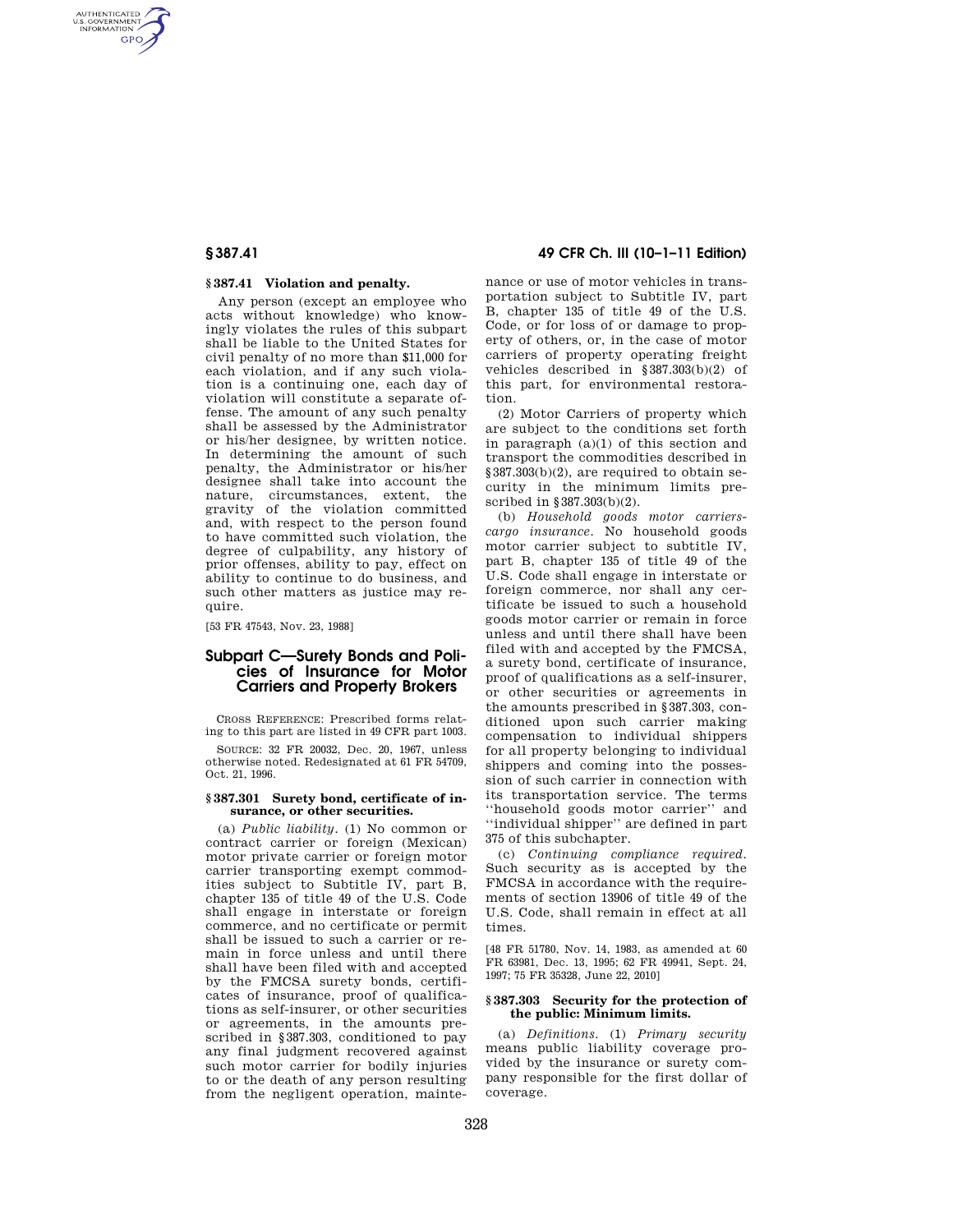AUTHENTICATED<br>U.S. GOVERNMENT<br>INFORMATION **GPO** 

## **§ 387.41 Violation and penalty.**

Any person (except an employee who acts without knowledge) who knowingly violates the rules of this subpart shall be liable to the United States for civil penalty of no more than \$11,000 for each violation, and if any such violation is a continuing one, each day of violation will constitute a separate offense. The amount of any such penalty shall be assessed by the Administrator or his/her designee, by written notice. In determining the amount of such penalty, the Administrator or his/her designee shall take into account the nature, circumstances, extent, the gravity of the violation committed and, with respect to the person found to have committed such violation, the degree of culpability, any history of prior offenses, ability to pay, effect on ability to continue to do business, and such other matters as justice may require.

[53 FR 47543, Nov. 23, 1988]

# **Subpart C—Surety Bonds and Policies of Insurance for Motor Carriers and Property Brokers**

CROSS REFERENCE: Prescribed forms relating to this part are listed in 49 CFR part 1003.

SOURCE: 32 FR 20032, Dec. 20, 1967, unless otherwise noted. Redesignated at 61 FR 54709, Oct. 21, 1996.

### **§ 387.301 Surety bond, certificate of insurance, or other securities.**

(a) *Public liability.* (1) No common or contract carrier or foreign (Mexican) motor private carrier or foreign motor carrier transporting exempt commodities subject to Subtitle IV, part B, chapter 135 of title 49 of the U.S. Code shall engage in interstate or foreign commerce, and no certificate or permit shall be issued to such a carrier or remain in force unless and until there shall have been filed with and accepted by the FMCSA surety bonds, certificates of insurance, proof of qualifications as self-insurer, or other securities or agreements, in the amounts prescribed in §387.303, conditioned to pay any final judgment recovered against such motor carrier for bodily injuries to or the death of any person resulting from the negligent operation, mainte-

**§ 387.41 49 CFR Ch. III (10–1–11 Edition)** 

nance or use of motor vehicles in transportation subject to Subtitle IV, part B, chapter 135 of title 49 of the U.S. Code, or for loss of or damage to property of others, or, in the case of motor carriers of property operating freight vehicles described in §387.303(b)(2) of this part, for environmental restoration.

(2) Motor Carriers of property which are subject to the conditions set forth in paragraph (a)(1) of this section and transport the commodities described in §387.303(b)(2), are required to obtain security in the minimum limits prescribed in §387.303(b)(2).

(b) *Household goods motor carrierscargo insurance.* No household goods motor carrier subject to subtitle IV, part B, chapter 135 of title 49 of the U.S. Code shall engage in interstate or foreign commerce, nor shall any certificate be issued to such a household goods motor carrier or remain in force unless and until there shall have been filed with and accepted by the FMCSA, a surety bond, certificate of insurance, proof of qualifications as a self-insurer, or other securities or agreements in the amounts prescribed in §387.303, conditioned upon such carrier making compensation to individual shippers for all property belonging to individual shippers and coming into the possession of such carrier in connection with its transportation service. The terms ''household goods motor carrier'' and ''individual shipper'' are defined in part 375 of this subchapter.

(c) *Continuing compliance required.*  Such security as is accepted by the FMCSA in accordance with the requirements of section 13906 of title 49 of the U.S. Code, shall remain in effect at all times.

[48 FR 51780, Nov. 14, 1983, as amended at 60 FR 63981, Dec. 13, 1995; 62 FR 49941, Sept. 24, 1997; 75 FR 35328, June 22, 2010]

## **§ 387.303 Security for the protection of the public: Minimum limits.**

(a) *Definitions.* (1) *Primary security*  means public liability coverage provided by the insurance or surety company responsible for the first dollar of coverage.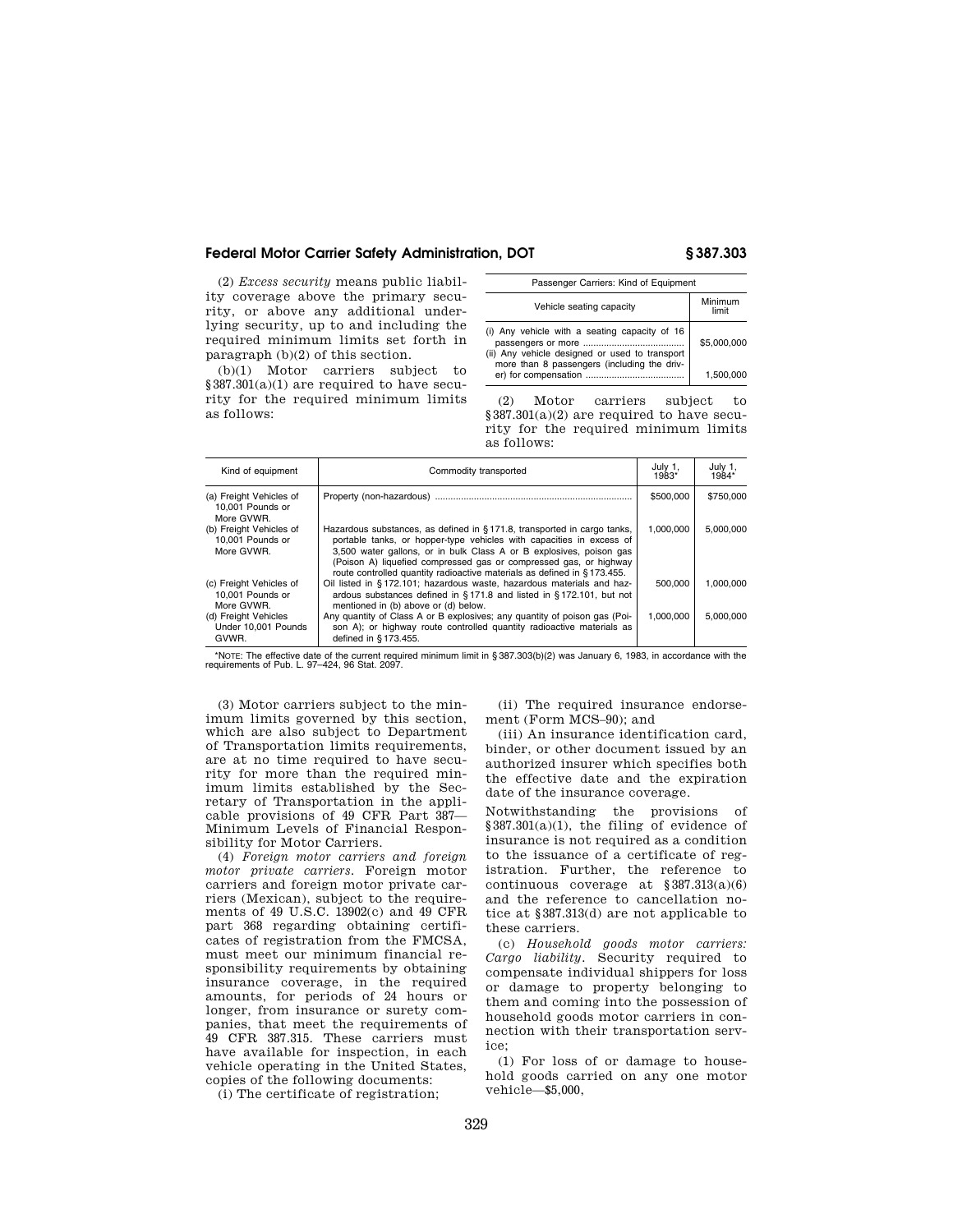## **Federal Motor Carrier Safety Administration, DOT § 387.303**

(2) *Excess security* means public liability coverage above the primary security, or above any additional underlying security, up to and including the required minimum limits set forth in paragraph (b)(2) of this section.

(b)(1) Motor carriers subject to §387.301(a)(1) are required to have security for the required minimum limits as follows:

| Passenger Carriers: Kind of Equipment                                                                                                          |                  |  |
|------------------------------------------------------------------------------------------------------------------------------------------------|------------------|--|
| Vehicle seating capacity                                                                                                                       | Minimum<br>limit |  |
| (i) Any vehicle with a seating capacity of 16<br>(ii) Any vehicle designed or used to transport<br>more than 8 passengers (including the driv- | \$5,000,000      |  |
|                                                                                                                                                | 1.500.000        |  |

(2) Motor carriers subject to §387.301(a)(2) are required to have security for the required minimum limits as follows:

| Kind of equipment                                         | Commodity transported                                                                                                                                                                                                                                                                                                                                                  | July 1,<br>1983* | July 1,<br>1984* |
|-----------------------------------------------------------|------------------------------------------------------------------------------------------------------------------------------------------------------------------------------------------------------------------------------------------------------------------------------------------------------------------------------------------------------------------------|------------------|------------------|
| (a) Freight Vehicles of<br>10.001 Pounds or<br>More GVWR. |                                                                                                                                                                                                                                                                                                                                                                        | \$500,000        | \$750,000        |
| (b) Freight Vehicles of<br>10.001 Pounds or<br>More GVWR. | Hazardous substances, as defined in §171.8, transported in cargo tanks,<br>portable tanks, or hopper-type vehicles with capacities in excess of<br>3,500 water gallons, or in bulk Class A or B explosives, poison gas<br>(Poison A) liquefied compressed gas or compressed gas, or highway<br>route controlled quantity radioactive materials as defined in §173.455. | 1.000.000        | 5.000.000        |
| (c) Freight Vehicles of<br>10.001 Pounds or<br>More GVWR. | Oil listed in §172.101; hazardous waste, hazardous materials and haz-<br>ardous substances defined in §171.8 and listed in §172.101, but not<br>mentioned in (b) above or (d) below.                                                                                                                                                                                   | 500.000          | 1.000.000        |
| (d) Freight Vehicles<br>Under 10.001 Pounds<br>GVWR.      | Any quantity of Class A or B explosives; any quantity of poison gas (Poi-<br>son A); or highway route controlled quantity radioactive materials as<br>defined in §173.455.                                                                                                                                                                                             | 1.000.000        | 5.000.000        |

\*NOTE: The effective date of the current required minimum limit in § 387.303(b)(2) was January 6, 1983, in accordance with the requirements of Pub. L. 97–424, 96 Stat. 2097.

(3) Motor carriers subject to the minimum limits governed by this section, which are also subject to Department of Transportation limits requirements, are at no time required to have security for more than the required minimum limits established by the Secretary of Transportation in the applicable provisions of 49 CFR Part 387— Minimum Levels of Financial Responsibility for Motor Carriers.

(4) *Foreign motor carriers and foreign motor private carriers.* Foreign motor carriers and foreign motor private carriers (Mexican), subject to the requirements of 49 U.S.C. 13902(c) and 49 CFR part 368 regarding obtaining certificates of registration from the FMCSA, must meet our minimum financial responsibility requirements by obtaining insurance coverage, in the required amounts, for periods of 24 hours or longer, from insurance or surety companies, that meet the requirements of 49 CFR 387.315. These carriers must have available for inspection, in each vehicle operating in the United States, copies of the following documents:

(i) The certificate of registration;

(ii) The required insurance endorsement (Form MCS–90); and

(iii) An insurance identification card, binder, or other document issued by an authorized insurer which specifies both the effective date and the expiration date of the insurance coverage.

Notwithstanding the provisions of  $§ 387.301(a)(1)$ , the filing of evidence of insurance is not required as a condition to the issuance of a certificate of registration. Further, the reference to continuous coverage at §387.313(a)(6) and the reference to cancellation notice at §387.313(d) are not applicable to these carriers.

(c) *Household goods motor carriers: Cargo liability.* Security required to compensate individual shippers for loss or damage to property belonging to them and coming into the possession of household goods motor carriers in connection with their transportation service;

(1) For loss of or damage to household goods carried on any one motor vehicle—\$5,000,